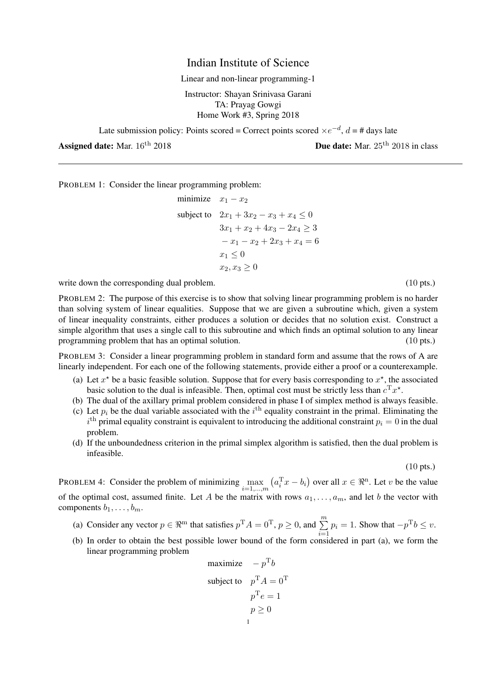## Indian Institute of Science

Linear and non-linear programming-1

Instructor: Shayan Srinivasa Garani TA: Prayag Gowgi Home Work #3, Spring 2018

Late submission policy: Points scored = Correct points scored  $\times e^{-d}$ ,  $d = \text{\# days}$  late

Assigned date: Mar.  $16^{th}$  2018  $\mu$  Due date: Mar.  $25^{th}$  2018 in class

PROBLEM 1: Consider the linear programming problem:

minimize 
$$
x_1 - x_2
$$
  
\nsubject to  $2x_1 + 3x_2 - x_3 + x_4 \le 0$   
\n $3x_1 + x_2 + 4x_3 - 2x_4 \ge 3$   
\n $- x_1 - x_2 + 2x_3 + x_4 = 6$   
\n $x_1 \le 0$   
\n $x_2, x_3 \ge 0$ 

write down the corresponding dual problem. (10 pts.) (10 pts.)

PROBLEM 2: The purpose of this exercise is to show that solving linear programming problem is no harder than solving system of linear equalities. Suppose that we are given a subroutine which, given a system of linear inequality constraints, either produces a solution or decides that no solution exist. Construct a simple algorithm that uses a single call to this subroutine and which finds an optimal solution to any linear programming problem that has an optimal solution. (10 pts.) (10 pts.)

PROBLEM 3: Consider a linear programming problem in standard form and assume that the rows of A are linearly independent. For each one of the following statements, provide either a proof or a counterexample.

- (a) Let  $x^*$  be a basic feasible solution. Suppose that for every basis corresponding to  $x^*$ , the associated basic solution to the dual is infeasible. Then, optimal cost must be strictly less than  $c^{\mathrm{T}} x^*$ .
- (b) The dual of the axillary primal problem considered in phase I of simplex method is always feasible.
- (c) Let  $p_i$  be the dual variable associated with the i<sup>th</sup> equality constraint in the primal. Eliminating the  $i^{\text{th}}$  primal equality constraint is equivalent to introducing the additional constraint  $p_i = 0$  in the dual problem.
- (d) If the unboundedness criterion in the primal simplex algorithm is satisfied, then the dual problem is infeasible.

(10 pts.)

PROBLEM 4: Consider the problem of minimizing  $\max_{i=1,...,m} (a_i^{\mathrm{T}} x - b_i)$  over all  $x \in \Re^n$ . Let v be the value of the optimal cost, assumed finite. Let A be the matrix with rows  $a_1, \ldots, a_m$ , and let b the vector with components  $b_1, \ldots, b_m$ .

- (a) Consider any vector  $p \in \mathbb{R}^m$  that satisfies  $p^T A = 0^T$ ,  $p \ge 0$ , and  $\sum_{n=1}^m$  $i=1$  $p_i = 1$ . Show that  $-p^T b \leq v$ .
- (b) In order to obtain the best possible lower bound of the form considered in part (a), we form the linear programming problem  $\mathbf{r}$

maximize 
$$
-p^T b
$$
  
subject to  $p^T A = 0^T$   
 $p^T e = 1$   
 $p \ge 0$   
 $p$